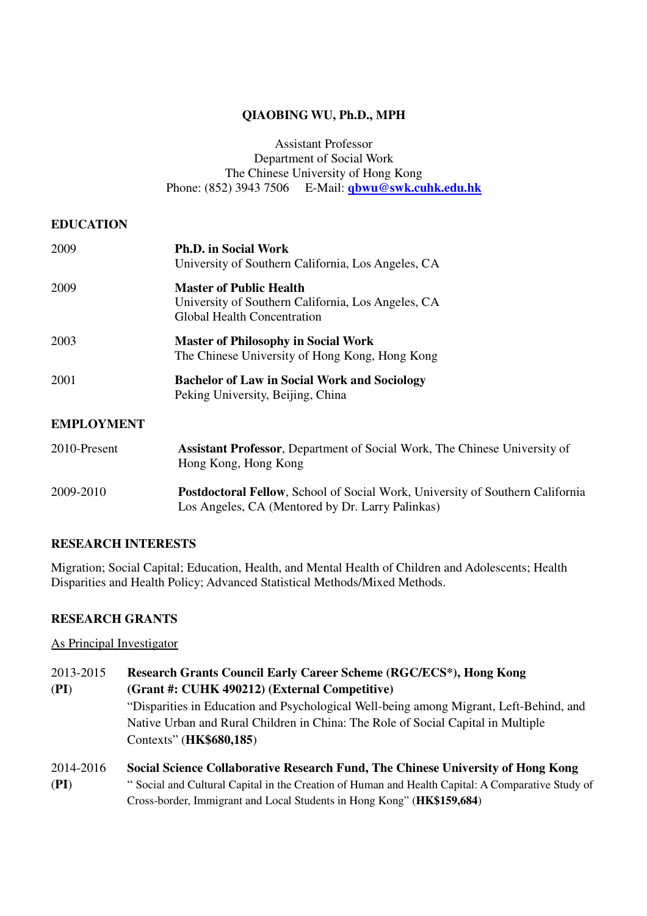## **QIAOBING WU, Ph.D., MPH**

Assistant Professor Department of Social Work The Chinese University of Hong Kong Phone: (852) 3943 7506 E-Mail: **qbwu@swk.cuhk.edu.hk**

## **EDUCATION**

| 2009              | <b>Ph.D. in Social Work</b><br>University of Southern California, Los Angeles, CA                                          |
|-------------------|----------------------------------------------------------------------------------------------------------------------------|
| 2009              | <b>Master of Public Health</b><br>University of Southern California, Los Angeles, CA<br><b>Global Health Concentration</b> |
| 2003              | <b>Master of Philosophy in Social Work</b><br>The Chinese University of Hong Kong, Hong Kong                               |
| 2001              | <b>Bachelor of Law in Social Work and Sociology</b><br>Peking University, Beijing, China                                   |
| <b>EMPLOYMENT</b> |                                                                                                                            |
| 2010-Present      | <b>Assistant Professor</b> , Department of Social Work, The Chinese University of<br>Hong Kong, Hong Kong                  |
| 2009-2010         | <b>Postdoctoral Fellow, School of Social Work, University of Southern California</b>                                       |

## **RESEARCH INTERESTS**

Migration; Social Capital; Education, Health, and Mental Health of Children and Adolescents; Health Disparities and Health Policy; Advanced Statistical Methods/Mixed Methods.

Los Angeles, CA (Mentored by Dr. Larry Palinkas)

## **RESEARCH GRANTS**

As Principal Investigator

| 2013-2015 | Research Grants Council Early Career Scheme (RGC/ECS*), Hong Kong                                |
|-----------|--------------------------------------------------------------------------------------------------|
| (PI)      | (Grant #: CUHK 490212) (External Competitive)                                                    |
|           | "Disparities in Education and Psychological Well-being among Migrant, Left-Behind, and           |
|           | Native Urban and Rural Children in China: The Role of Social Capital in Multiple                 |
|           | Contexts" (HK\$680,185)                                                                          |
| 2014-2016 | Social Science Collaborative Research Fund, The Chinese University of Hong Kong                  |
| (PI)      | "Social and Cultural Capital in the Creation of Human and Health Capital: A Comparative Study of |

Cross-border, Immigrant and Local Students in Hong Kong" (**HK\$159,684**)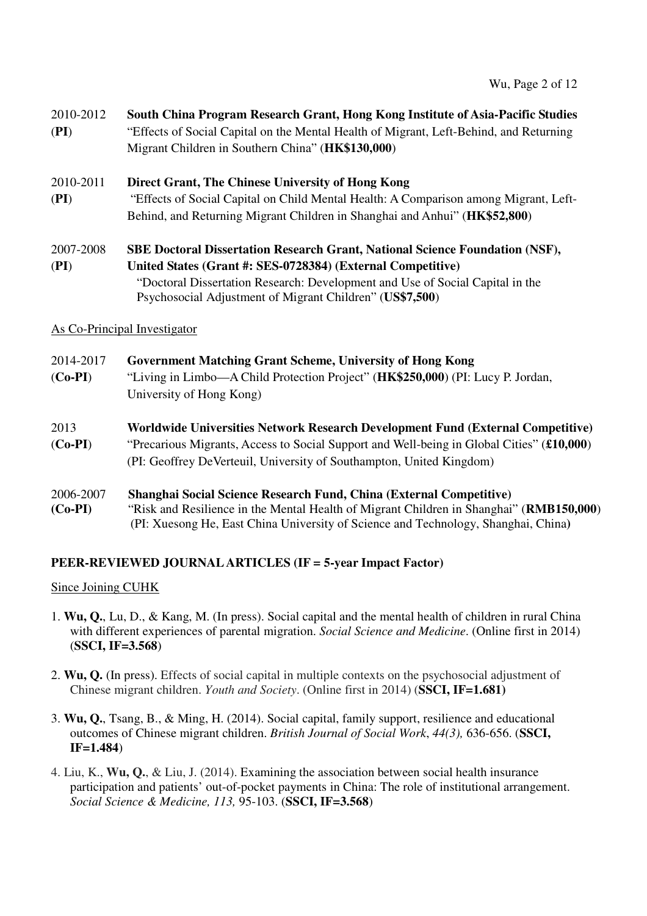## 2010-2012 **South China Program Research Grant, Hong Kong Institute of Asia-Pacific Studies**

(**PI**) "Effects of Social Capital on the Mental Health of Migrant, Left-Behind, and Returning Migrant Children in Southern China" (**HK\$130,000**)

## 2010-2011 **Direct Grant, The Chinese University of Hong Kong**

(**PI**) "Effects of Social Capital on Child Mental Health: A Comparison among Migrant, Left-Behind, and Returning Migrant Children in Shanghai and Anhui" (**HK\$52,800**)

# 2007-2008 **SBE Doctoral Dissertation Research Grant, National Science Foundation (NSF),** (**PI**) **United States (Grant #: SES-0728384) (External Competitive)**

 "Doctoral Dissertation Research: Development and Use of Social Capital in the Psychosocial Adjustment of Migrant Children" (**US\$7,500**)

## As Co-Principal Investigator

| 2014-2017 | <b>Government Matching Grant Scheme, University of Hong Kong</b>                          |
|-----------|-------------------------------------------------------------------------------------------|
| $(Co-PI)$ | "Living in Limbo—A Child Protection Project" (HK\$250,000) (PI: Lucy P. Jordan,           |
|           | University of Hong Kong)                                                                  |
| 2013      | Worldwide Universities Network Research Development Fund (External Competitive)           |
| $(Co-PI)$ | "Precarious Migrants, Access to Social Support and Well-being in Global Cities" (£10,000) |
|           | (PI: Geoffrey De Verteuil, University of Southampton, United Kingdom)                     |
| 2006-2007 | <b>Shanghai Social Science Research Fund, China (External Competitive)</b>                |
| $(Co-PI)$ | "Risk and Resilience in the Mental Health of Migrant Children in Shanghai" (RMB150,000)   |

## **PEER-REVIEWED JOURNAL ARTICLES (IF = 5-year Impact Factor)**

## Since Joining CUHK

1. **Wu, Q.**, Lu, D., & Kang, M. (In press). Social capital and the mental health of children in rural China with different experiences of parental migration. *Social Science and Medicine*. (Online first in 2014) (**SSCI, IF=3.568**)

(PI: Xuesong He, East China University of Science and Technology, Shanghai, China**)** 

- 2. **Wu, Q.** (In press). Effects of social capital in multiple contexts on the psychosocial adjustment of Chinese migrant children. *Youth and Society*. (Online first in 2014) (**SSCI, IF=1.681)**
- 3. **Wu, Q.**, Tsang, B., & Ming, H. (2014). Social capital, family support, resilience and educational outcomes of Chinese migrant children. *British Journal of Social Work*, *44(3),* 636-656. (**SSCI, IF=1.484**)
- 4. Liu, K., **Wu, Q.**, & Liu, J. (2014). Examining the association between social health insurance participation and patients' out-of-pocket payments in China: The role of institutional arrangement. *Social Science & Medicine, 113,* 95-103. (**SSCI, IF=3.568**)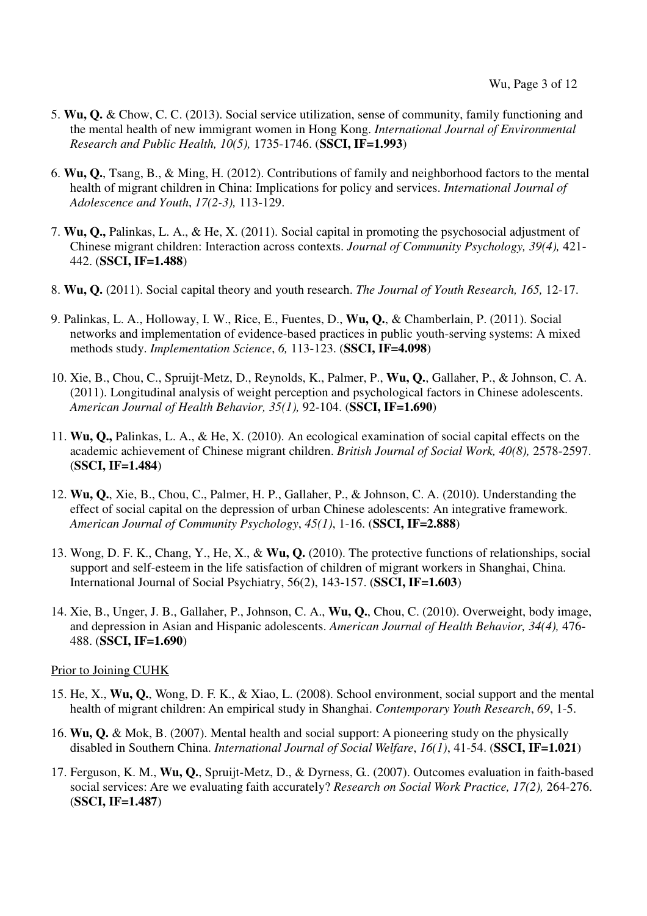- 5. **Wu, Q.** & Chow, C. C. (2013). Social service utilization, sense of community, family functioning and the mental health of new immigrant women in Hong Kong. *International Journal of Environmental Research and Public Health, 10(5),* 1735-1746. (**SSCI, IF=1.993**)
- 6. **Wu, Q.**, Tsang, B., & Ming, H. (2012). Contributions of family and neighborhood factors to the mental health of migrant children in China: Implications for policy and services. *International Journal of Adolescence and Youth*, *17(2-3),* 113-129.
- 7. **Wu, Q.,** Palinkas, L. A., & He, X. (2011). Social capital in promoting the psychosocial adjustment of Chinese migrant children: Interaction across contexts. *Journal of Community Psychology, 39(4),* 421- 442. (**SSCI, IF=1.488**)
- 8. **Wu, Q.** (2011). Social capital theory and youth research. *The Journal of Youth Research, 165,* 12-17.
- 9. Palinkas, L. A., Holloway, I. W., Rice, E., Fuentes, D., **Wu, Q.**, & Chamberlain, P. (2011). Social networks and implementation of evidence-based practices in public youth-serving systems: A mixed methods study. *Implementation Science*, *6,* 113-123. (**SSCI, IF=4.098**)
- 10. Xie, B., Chou, C., Spruijt-Metz, D., Reynolds, K., Palmer, P., **Wu, Q.**, Gallaher, P., & Johnson, C. A. (2011). Longitudinal analysis of weight perception and psychological factors in Chinese adolescents. *American Journal of Health Behavior, 35(1),* 92-104. (**SSCI, IF=1.690**)
- 11. **Wu, Q.,** Palinkas, L. A., & He, X. (2010). An ecological examination of social capital effects on the academic achievement of Chinese migrant children. *British Journal of Social Work, 40(8),* 2578-2597. (**SSCI, IF=1.484**)
- 12. **Wu, Q.**, Xie, B., Chou, C., Palmer, H. P., Gallaher, P., & Johnson, C. A. (2010). Understanding the effect of social capital on the depression of urban Chinese adolescents: An integrative framework. *American Journal of Community Psychology*, *45(1)*, 1-16. (**SSCI, IF=2.888**)
- 13. Wong, D. F. K., Chang, Y., He, X., & **Wu, Q.** (2010). The protective functions of relationships, social support and self-esteem in the life satisfaction of children of migrant workers in Shanghai, China. International Journal of Social Psychiatry, 56(2), 143-157. (**SSCI, IF=1.603**)
- 14. Xie, B., Unger, J. B., Gallaher, P., Johnson, C. A., **Wu, Q.**, Chou, C. (2010). Overweight, body image, and depression in Asian and Hispanic adolescents. *American Journal of Health Behavior, 34(4),* 476- 488. (**SSCI, IF=1.690**)

Prior to Joining CUHK

- 15. He, X., **Wu, Q.**, Wong, D. F. K., & Xiao, L. (2008). School environment, social support and the mental health of migrant children: An empirical study in Shanghai. *Contemporary Youth Research*, *69*, 1-5.
- 16. **Wu, Q.** & Mok, B. (2007). Mental health and social support: A pioneering study on the physically disabled in Southern China. *International Journal of Social Welfare*, *16(1)*, 41-54. (**SSCI, IF=1.021**)
- 17. Ferguson, K. M., **Wu, Q.**, Spruijt-Metz, D., & Dyrness, G.. (2007). Outcomes evaluation in faith-based social services: Are we evaluating faith accurately? *Research on Social Work Practice, 17(2),* 264-276. (**SSCI, IF=1.487**)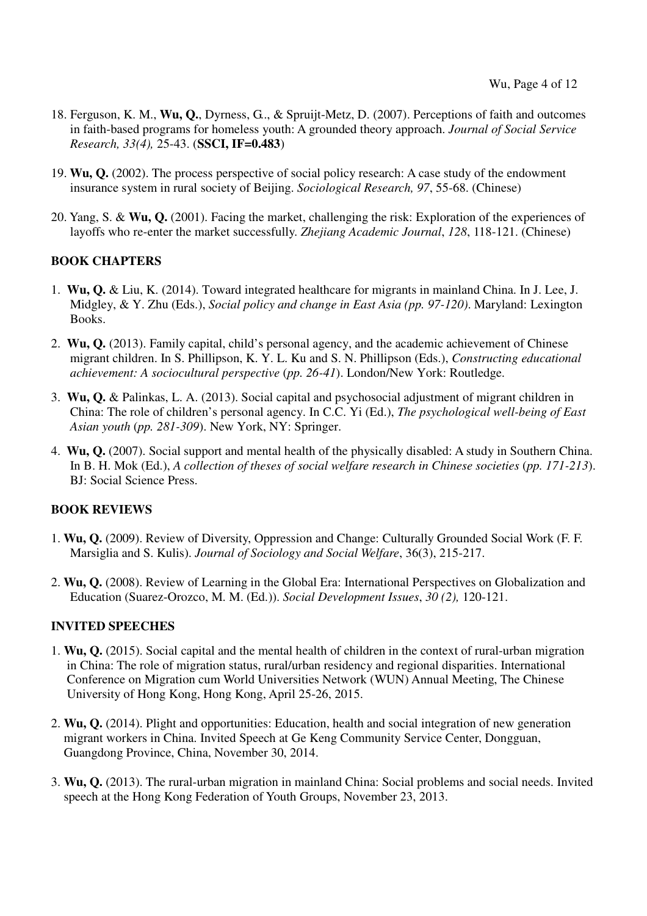- 18. Ferguson, K. M., **Wu, Q.**, Dyrness, G.., & Spruijt-Metz, D. (2007). Perceptions of faith and outcomes in faith-based programs for homeless youth: A grounded theory approach. *Journal of Social Service Research, 33(4),* 25-43. (**SSCI, IF=0.483**)
- 19. **Wu, Q.** (2002). The process perspective of social policy research: A case study of the endowment insurance system in rural society of Beijing. *Sociological Research, 97*, 55-68. (Chinese)
- 20. Yang, S. & **Wu, Q.** (2001). Facing the market, challenging the risk: Exploration of the experiences of layoffs who re-enter the market successfully. *Zhejiang Academic Journal*, *128*, 118-121. (Chinese)

## **BOOK CHAPTERS**

- 1. **Wu, Q.** & Liu, K. (2014). Toward integrated healthcare for migrants in mainland China. In J. Lee, J. Midgley, & Y. Zhu (Eds.), *Social policy and change in East Asia (pp. 97-120)*. Maryland: Lexington Books.
- 2. **Wu, Q.** (2013). Family capital, child's personal agency, and the academic achievement of Chinese migrant children. In S. Phillipson, K. Y. L. Ku and S. N. Phillipson (Eds.), *Constructing educational achievement: A sociocultural perspective* (*pp. 26-41*). London/New York: Routledge.
- 3. **Wu, Q.** & Palinkas, L. A. (2013). Social capital and psychosocial adjustment of migrant children in China: The role of children's personal agency. In C.C. Yi (Ed.), *The psychological well-being of East Asian youth* (*pp. 281-309*). New York, NY: Springer.
- 4. **Wu, Q.** (2007). Social support and mental health of the physically disabled: A study in Southern China. In B. H. Mok (Ed.), *A collection of theses of social welfare research in Chinese societies* (*pp. 171-213*). BJ: Social Science Press.

## **BOOK REVIEWS**

- 1. **Wu, Q.** (2009). Review of Diversity, Oppression and Change: Culturally Grounded Social Work (F. F. Marsiglia and S. Kulis). *Journal of Sociology and Social Welfare*, 36(3), 215-217.
- 2. **Wu, Q.** (2008). Review of Learning in the Global Era: International Perspectives on Globalization and Education (Suarez-Orozco, M. M. (Ed.)). *Social Development Issues*, *30 (2),* 120-121.

## **INVITED SPEECHES**

- 1. **Wu, Q.** (2015). Social capital and the mental health of children in the context of rural-urban migration in China: The role of migration status, rural/urban residency and regional disparities. International Conference on Migration cum World Universities Network (WUN) Annual Meeting, The Chinese University of Hong Kong, Hong Kong, April 25-26, 2015.
- 2. **Wu, Q.** (2014). Plight and opportunities: Education, health and social integration of new generation migrant workers in China. Invited Speech at Ge Keng Community Service Center, Dongguan, Guangdong Province, China, November 30, 2014.
- 3. **Wu, Q.** (2013). The rural-urban migration in mainland China: Social problems and social needs. Invited speech at the Hong Kong Federation of Youth Groups, November 23, 2013.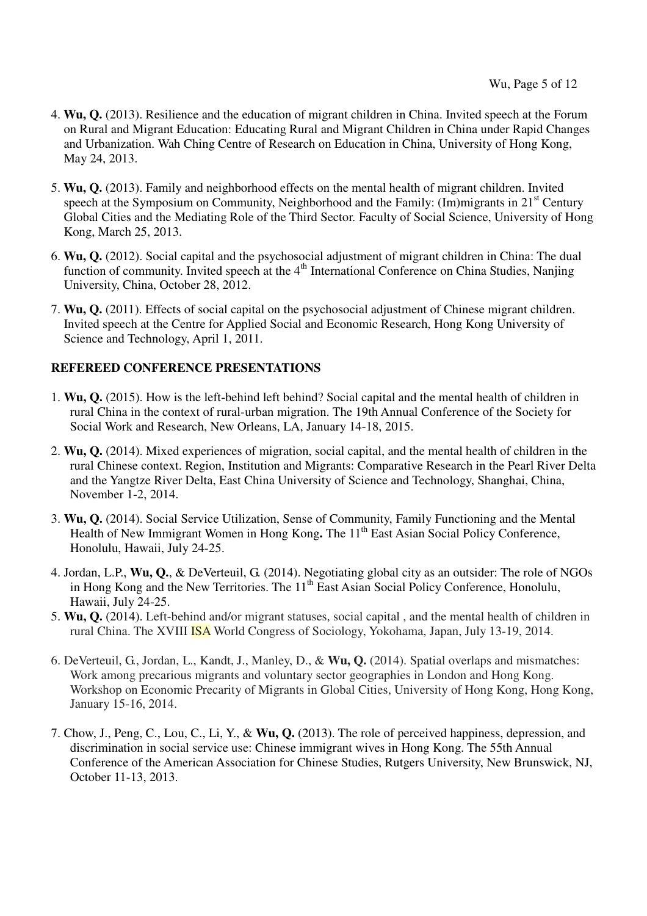- 4. **Wu, Q.** (2013). Resilience and the education of migrant children in China. Invited speech at the Forum on Rural and Migrant Education: Educating Rural and Migrant Children in China under Rapid Changes and Urbanization. Wah Ching Centre of Research on Education in China, University of Hong Kong, May 24, 2013.
- 5. **Wu, Q.** (2013). Family and neighborhood effects on the mental health of migrant children. Invited speech at the Symposium on Community, Neighborhood and the Family:  $(Im)$ migrants in 21<sup>st</sup> Century Global Cities and the Mediating Role of the Third Sector. Faculty of Social Science, University of Hong Kong, March 25, 2013.
- 6. **Wu, Q.** (2012). Social capital and the psychosocial adjustment of migrant children in China: The dual function of community. Invited speech at the  $4<sup>th</sup>$  International Conference on China Studies, Nanjing University, China, October 28, 2012.
- 7. **Wu, Q.** (2011). Effects of social capital on the psychosocial adjustment of Chinese migrant children. Invited speech at the Centre for Applied Social and Economic Research, Hong Kong University of Science and Technology, April 1, 2011.

## **REFEREED CONFERENCE PRESENTATIONS**

- 1. **Wu, Q.** (2015). How is the left-behind left behind? Social capital and the mental health of children in rural China in the context of rural-urban migration. The 19th Annual Conference of the Society for Social Work and Research, New Orleans, LA, January 14-18, 2015.
- 2. **Wu, Q.** (2014). Mixed experiences of migration, social capital, and the mental health of children in the rural Chinese context. Region, Institution and Migrants: Comparative Research in the Pearl River Delta and the Yangtze River Delta, East China University of Science and Technology, Shanghai, China, November 1-2, 2014.
- 3. **Wu, Q.** (2014). Social Service Utilization, Sense of Community, Family Functioning and the Mental Health of New Immigrant Women in Hong Kong. The 11<sup>th</sup> East Asian Social Policy Conference, Honolulu, Hawaii, July 24-25.
- 4. Jordan, L.P., **Wu, Q.**, & DeVerteuil, G. (2014). Negotiating global city as an outsider: The role of NGOs in Hong Kong and the New Territories. The 11<sup>th</sup> East Asian Social Policy Conference, Honolulu, Hawaii, July 24-25.
- 5. **Wu, Q.** (2014). Left-behind and/or migrant statuses, social capital , and the mental health of children in rural China. The XVIII ISA World Congress of Sociology, Yokohama, Japan, July 13-19, 2014.
- 6. DeVerteuil, G., Jordan, L., Kandt, J., Manley, D., & **Wu, Q.** (2014). Spatial overlaps and mismatches: Work among precarious migrants and voluntary sector geographies in London and Hong Kong. Workshop on Economic Precarity of Migrants in Global Cities, University of Hong Kong, Hong Kong, January 15-16, 2014.
- 7. Chow, J., Peng, C., Lou, C., Li, Y., & **Wu, Q.** (2013). The role of perceived happiness, depression, and discrimination in social service use: Chinese immigrant wives in Hong Kong. The 55th Annual Conference of the American Association for Chinese Studies, Rutgers University, New Brunswick, NJ, October 11-13, 2013.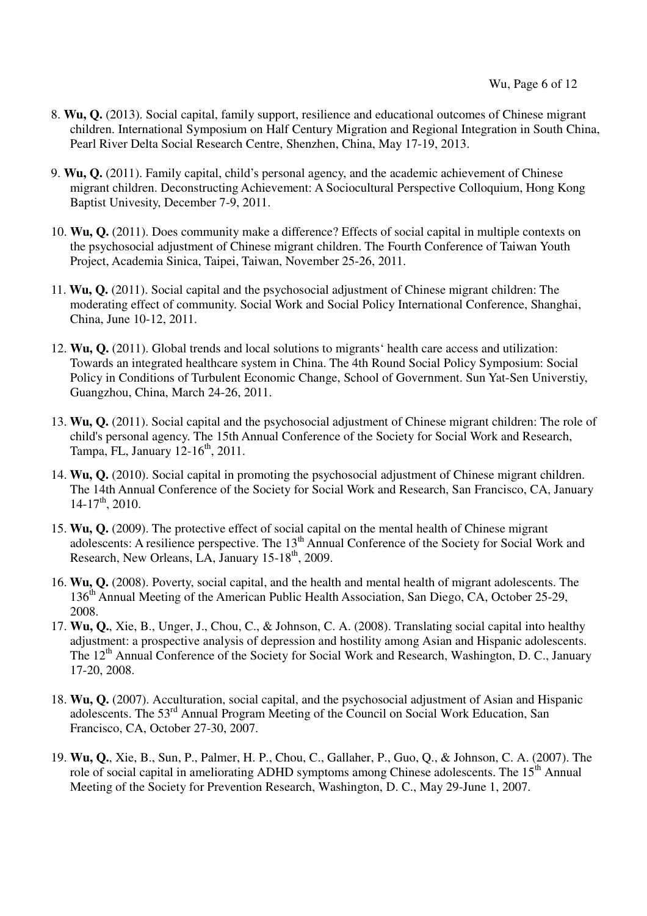- 8. **Wu, Q.** (2013). Social capital, family support, resilience and educational outcomes of Chinese migrant children. International Symposium on Half Century Migration and Regional Integration in South China, Pearl River Delta Social Research Centre, Shenzhen, China, May 17-19, 2013.
- 9. **Wu, Q.** (2011). Family capital, child's personal agency, and the academic achievement of Chinese migrant children. Deconstructing Achievement: A Sociocultural Perspective Colloquium, Hong Kong Baptist Univesity, December 7-9, 2011.
- 10. **Wu, Q.** (2011). Does community make a difference? Effects of social capital in multiple contexts on the psychosocial adjustment of Chinese migrant children. The Fourth Conference of Taiwan Youth Project, Academia Sinica, Taipei, Taiwan, November 25-26, 2011.
- 11. **Wu, Q.** (2011). Social capital and the psychosocial adjustment of Chinese migrant children: The moderating effect of community. Social Work and Social Policy International Conference, Shanghai, China, June 10-12, 2011.
- 12. **Wu, Q.** (2011). Global trends and local solutions to migrants' health care access and utilization: Towards an integrated healthcare system in China. The 4th Round Social Policy Symposium: Social Policy in Conditions of Turbulent Economic Change, School of Government. Sun Yat-Sen Universtiy, Guangzhou, China, March 24-26, 2011.
- 13. **Wu, Q.** (2011). Social capital and the psychosocial adjustment of Chinese migrant children: The role of child's personal agency. The 15th Annual Conference of the Society for Social Work and Research, Tampa, FL, January  $12-16^{th}$ , 2011.
- 14. **Wu, Q.** (2010). Social capital in promoting the psychosocial adjustment of Chinese migrant children. The 14th Annual Conference of the Society for Social Work and Research, San Francisco, CA, January  $14-17$ <sup>th</sup>, 2010.
- 15. **Wu, Q.** (2009). The protective effect of social capital on the mental health of Chinese migrant adolescents: A resilience perspective. The 13<sup>th</sup> Annual Conference of the Society for Social Work and Research, New Orleans, LA, January 15-18<sup>th</sup>, 2009.
- 16. **Wu, Q.** (2008). Poverty, social capital, and the health and mental health of migrant adolescents. The 136<sup>th</sup> Annual Meeting of the American Public Health Association, San Diego, CA, October 25-29, 2008.
- 17. **Wu, Q.**, Xie, B., Unger, J., Chou, C., & Johnson, C. A. (2008). Translating social capital into healthy adjustment: a prospective analysis of depression and hostility among Asian and Hispanic adolescents. The 12<sup>th</sup> Annual Conference of the Society for Social Work and Research, Washington, D. C., January 17-20, 2008.
- 18. **Wu, Q.** (2007). Acculturation, social capital, and the psychosocial adjustment of Asian and Hispanic adolescents. The 53rd Annual Program Meeting of the Council on Social Work Education, San Francisco, CA, October 27-30, 2007.
- 19. **Wu, Q.**, Xie, B., Sun, P., Palmer, H. P., Chou, C., Gallaher, P., Guo, Q., & Johnson, C. A. (2007). The role of social capital in ameliorating ADHD symptoms among Chinese adolescents. The 15<sup>th</sup> Annual Meeting of the Society for Prevention Research, Washington, D. C., May 29-June 1, 2007.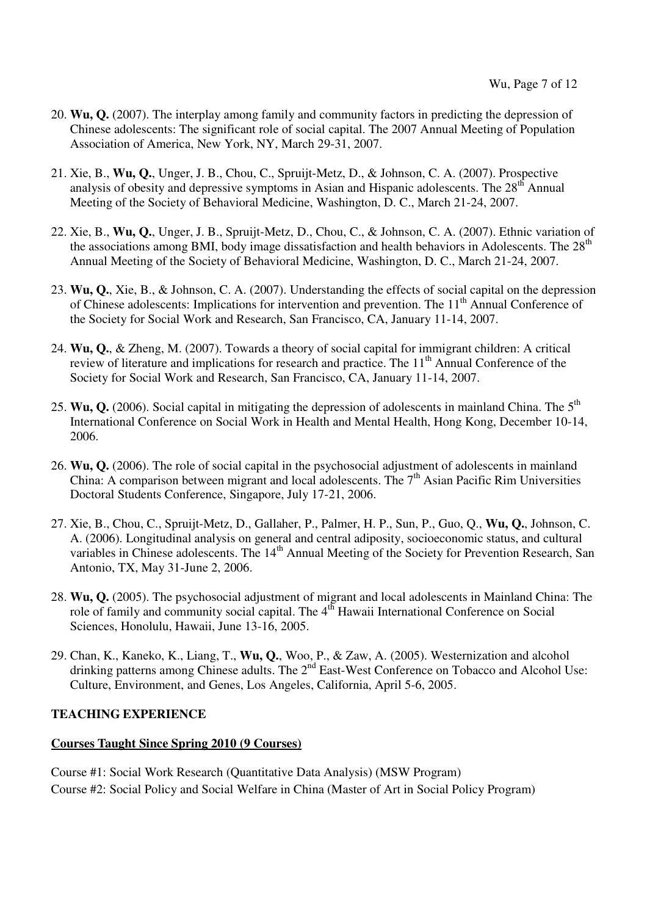- 20. **Wu, Q.** (2007). The interplay among family and community factors in predicting the depression of Chinese adolescents: The significant role of social capital. The 2007 Annual Meeting of Population Association of America, New York, NY, March 29-31, 2007.
- 21. Xie, B., **Wu, Q.**, Unger, J. B., Chou, C., Spruijt-Metz, D., & Johnson, C. A. (2007). Prospective analysis of obesity and depressive symptoms in Asian and Hispanic adolescents. The  $28<sup>th</sup>$  Annual Meeting of the Society of Behavioral Medicine, Washington, D. C., March 21-24, 2007.
- 22. Xie, B., **Wu, Q.**, Unger, J. B., Spruijt-Metz, D., Chou, C., & Johnson, C. A. (2007). Ethnic variation of the associations among BMI, body image dissatisfaction and health behaviors in Adolescents. The  $28<sup>th</sup>$ Annual Meeting of the Society of Behavioral Medicine, Washington, D. C., March 21-24, 2007.
- 23. **Wu, Q.**, Xie, B., & Johnson, C. A. (2007). Understanding the effects of social capital on the depression of Chinese adolescents: Implications for intervention and prevention. The 11<sup>th</sup> Annual Conference of the Society for Social Work and Research, San Francisco, CA, January 11-14, 2007.
- 24. **Wu, Q.**, & Zheng, M. (2007). Towards a theory of social capital for immigrant children: A critical review of literature and implications for research and practice. The 11<sup>th</sup> Annual Conference of the Society for Social Work and Research, San Francisco, CA, January 11-14, 2007.
- 25. **Wu, Q.** (2006). Social capital in mitigating the depression of adolescents in mainland China. The 5<sup>th</sup> International Conference on Social Work in Health and Mental Health, Hong Kong, December 10-14, 2006.
- 26. **Wu, Q.** (2006). The role of social capital in the psychosocial adjustment of adolescents in mainland China: A comparison between migrant and local adolescents. The  $7<sup>th</sup>$  Asian Pacific Rim Universities Doctoral Students Conference, Singapore, July 17-21, 2006.
- 27. Xie, B., Chou, C., Spruijt-Metz, D., Gallaher, P., Palmer, H. P., Sun, P., Guo, Q., **Wu, Q.**, Johnson, C. A. (2006). Longitudinal analysis on general and central adiposity, socioeconomic status, and cultural variables in Chinese adolescents. The 14<sup>th</sup> Annual Meeting of the Society for Prevention Research, San Antonio, TX, May 31-June 2, 2006.
- 28. **Wu, Q.** (2005). The psychosocial adjustment of migrant and local adolescents in Mainland China: The role of family and community social capital. The 4<sup>th</sup> Hawaii International Conference on Social Sciences, Honolulu, Hawaii, June 13-16, 2005.
- 29. Chan, K., Kaneko, K., Liang, T., **Wu, Q.**, Woo, P., & Zaw, A. (2005). Westernization and alcohol drinking patterns among Chinese adults. The 2<sup>nd</sup> East-West Conference on Tobacco and Alcohol Use: Culture, Environment, and Genes, Los Angeles, California, April 5-6, 2005.

## **TEACHING EXPERIENCE**

## **Courses Taught Since Spring 2010 (9 Courses)**

Course #1: Social Work Research (Quantitative Data Analysis) (MSW Program) Course #2: Social Policy and Social Welfare in China (Master of Art in Social Policy Program)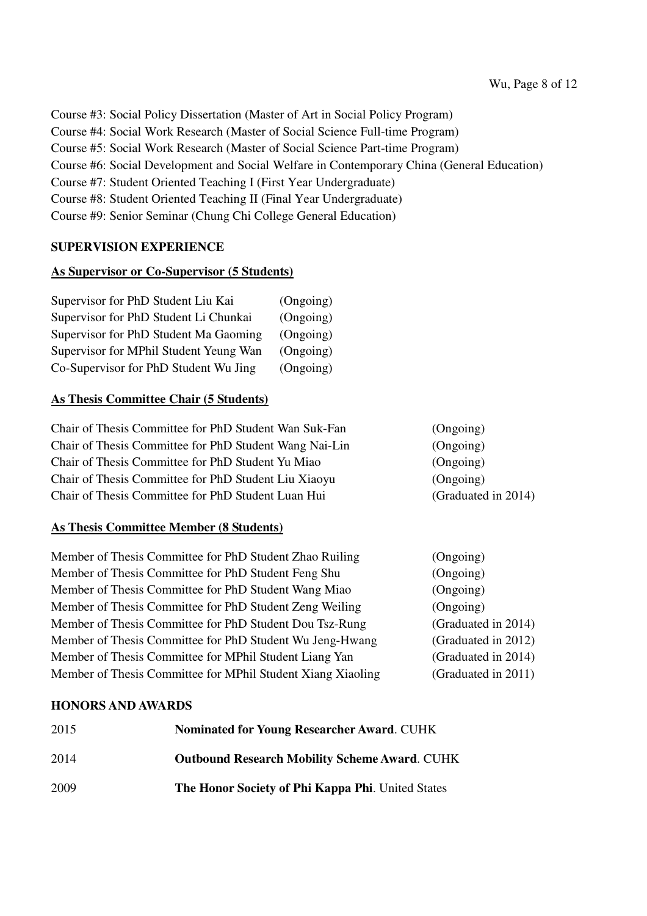Course #3: Social Policy Dissertation (Master of Art in Social Policy Program) Course #4: Social Work Research (Master of Social Science Full-time Program) Course #5: Social Work Research (Master of Social Science Part-time Program) Course #6: Social Development and Social Welfare in Contemporary China (General Education) Course #7: Student Oriented Teaching I (First Year Undergraduate) Course #8: Student Oriented Teaching II (Final Year Undergraduate) Course #9: Senior Seminar (Chung Chi College General Education)

## **SUPERVISION EXPERIENCE**

## **As Supervisor or Co-Supervisor (5 Students)**

| Supervisor for PhD Student Liu Kai     | (Ongoing) |
|----------------------------------------|-----------|
| Supervisor for PhD Student Li Chunkai  | (Ongoing) |
| Supervisor for PhD Student Ma Gaoming  | (Ongoing) |
| Supervisor for MPhil Student Yeung Wan | (Ongoing) |
| Co-Supervisor for PhD Student Wu Jing  | (Ongoing) |

## **As Thesis Committee Chair (5 Students)**

Chair of Thesis Committee for PhD Student Wan Suk-Fan (Ongoing) Chair of Thesis Committee for PhD Student Wang Nai-Lin (Ongoing) Chair of Thesis Committee for PhD Student Yu Miao (Ongoing) Chair of Thesis Committee for PhD Student Liu Xiaoyu (Ongoing) Chair of Thesis Committee for PhD Student Luan Hui (Graduated in 2014)

## **As Thesis Committee Member (8 Students)**

| Member of Thesis Committee for PhD Student Zhao Ruiling     | (Ongoing)           |
|-------------------------------------------------------------|---------------------|
| Member of Thesis Committee for PhD Student Feng Shu         | (Ongoing)           |
| Member of Thesis Committee for PhD Student Wang Miao        | (Ongoing)           |
| Member of Thesis Committee for PhD Student Zeng Weiling     | (Ongoing)           |
| Member of Thesis Committee for PhD Student Dou Tsz-Rung     | (Graduated in 2014) |
| Member of Thesis Committee for PhD Student Wu Jeng-Hwang    | (Graduated in 2012) |
| Member of Thesis Committee for MPhil Student Liang Yan      | (Graduated in 2014) |
| Member of Thesis Committee for MPhil Student Xiang Xiaoling | (Graduated in 2011) |

## **HONORS AND AWARDS**

| 2015 | <b>Nominated for Young Researcher Award. CUHK</b>    |
|------|------------------------------------------------------|
| 2014 | <b>Outbound Research Mobility Scheme Award. CUHK</b> |
| 2009 | The Honor Society of Phi Kappa Phi. United States    |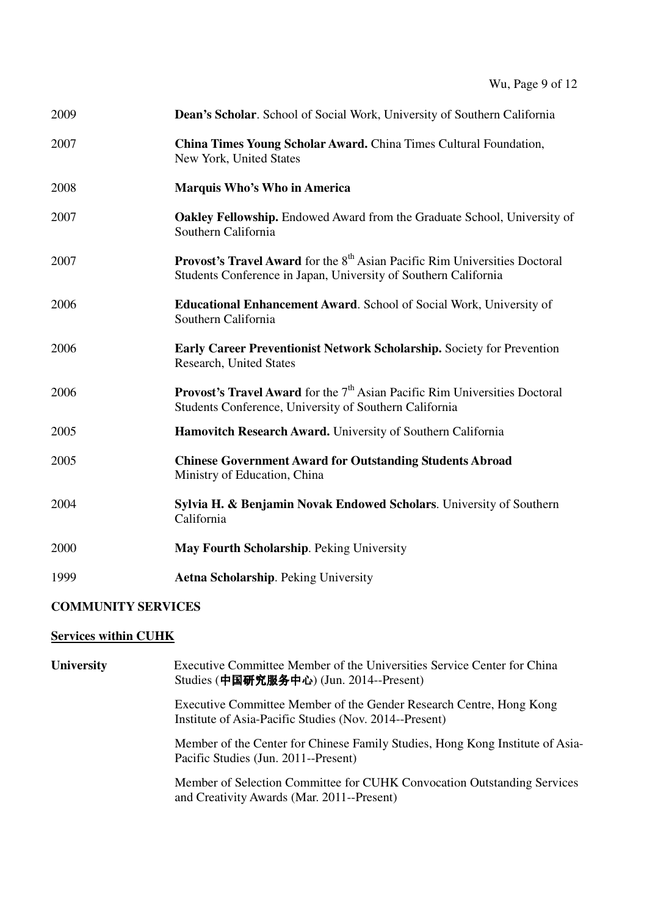| 2009 | Dean's Scholar. School of Social Work, University of Southern California                                                                                         |
|------|------------------------------------------------------------------------------------------------------------------------------------------------------------------|
| 2007 | China Times Young Scholar Award. China Times Cultural Foundation,<br>New York, United States                                                                     |
| 2008 | Marquis Who's Who in America                                                                                                                                     |
| 2007 | <b>Oakley Fellowship.</b> Endowed Award from the Graduate School, University of<br>Southern California                                                           |
| 2007 | <b>Provost's Travel Award</b> for the 8 <sup>th</sup> Asian Pacific Rim Universities Doctoral<br>Students Conference in Japan, University of Southern California |
| 2006 | <b>Educational Enhancement Award.</b> School of Social Work, University of<br>Southern California                                                                |
| 2006 | <b>Early Career Preventionist Network Scholarship.</b> Society for Prevention<br>Research, United States                                                         |
| 2006 | <b>Provost's Travel Award</b> for the $7th$ Asian Pacific Rim Universities Doctoral<br>Students Conference, University of Southern California                    |
| 2005 | Hamovitch Research Award. University of Southern California                                                                                                      |
| 2005 | <b>Chinese Government Award for Outstanding Students Abroad</b><br>Ministry of Education, China                                                                  |
| 2004 | Sylvia H. & Benjamin Novak Endowed Scholars. University of Southern<br>California                                                                                |
| 2000 | May Fourth Scholarship. Peking University                                                                                                                        |
| 1999 | <b>Aetna Scholarship. Peking University</b>                                                                                                                      |

# **COMMUNITY SERVICES**

# **Services within CUHK**

| <b>University</b> | Executive Committee Member of the Universities Service Center for China<br>Studies (中国研究服务中心) (Jun. 2014--Present)            |
|-------------------|-------------------------------------------------------------------------------------------------------------------------------|
|                   | Executive Committee Member of the Gender Research Centre, Hong Kong<br>Institute of Asia-Pacific Studies (Nov. 2014--Present) |
|                   | Member of the Center for Chinese Family Studies, Hong Kong Institute of Asia-<br>Pacific Studies (Jun. 2011--Present)         |
|                   | Member of Selection Committee for CUHK Convocation Outstanding Services<br>and Creativity Awards (Mar. 2011--Present)         |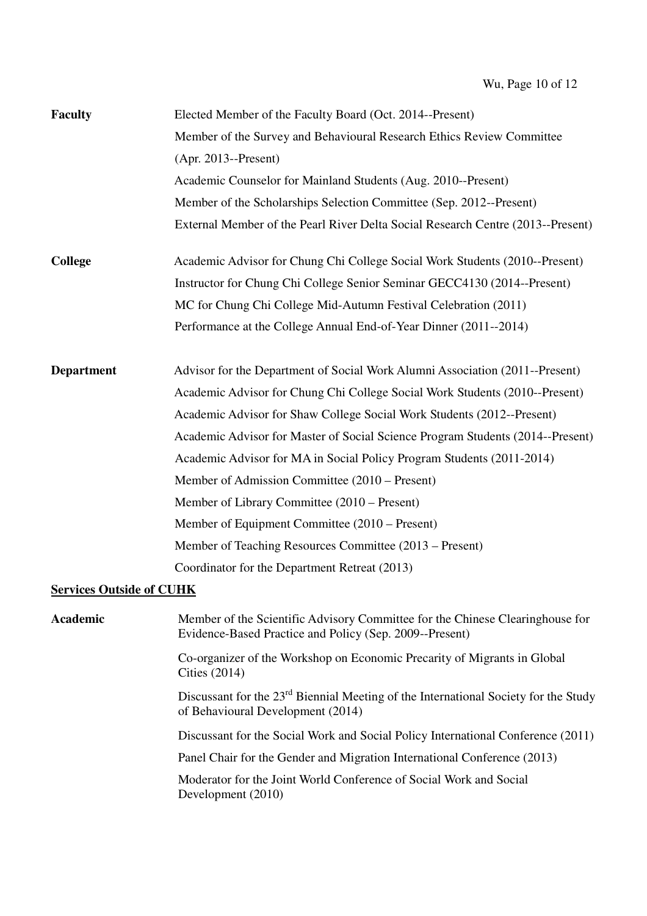| <b>Faculty</b>                  | Elected Member of the Faculty Board (Oct. 2014--Present)                                                                                 |
|---------------------------------|------------------------------------------------------------------------------------------------------------------------------------------|
|                                 | Member of the Survey and Behavioural Research Ethics Review Committee                                                                    |
|                                 | $(Apr. 2013 - Present)$                                                                                                                  |
|                                 | Academic Counselor for Mainland Students (Aug. 2010--Present)                                                                            |
|                                 | Member of the Scholarships Selection Committee (Sep. 2012--Present)                                                                      |
|                                 | External Member of the Pearl River Delta Social Research Centre (2013--Present)                                                          |
| <b>College</b>                  | Academic Advisor for Chung Chi College Social Work Students (2010--Present)                                                              |
|                                 | Instructor for Chung Chi College Senior Seminar GECC4130 (2014--Present)                                                                 |
|                                 | MC for Chung Chi College Mid-Autumn Festival Celebration (2011)                                                                          |
|                                 | Performance at the College Annual End-of-Year Dinner (2011--2014)                                                                        |
| <b>Department</b>               | Advisor for the Department of Social Work Alumni Association (2011--Present)                                                             |
|                                 | Academic Advisor for Chung Chi College Social Work Students (2010--Present)                                                              |
|                                 | Academic Advisor for Shaw College Social Work Students (2012--Present)                                                                   |
|                                 | Academic Advisor for Master of Social Science Program Students (2014--Present)                                                           |
|                                 | Academic Advisor for MA in Social Policy Program Students (2011-2014)                                                                    |
|                                 | Member of Admission Committee (2010 – Present)                                                                                           |
|                                 | Member of Library Committee (2010 – Present)                                                                                             |
|                                 | Member of Equipment Committee (2010 – Present)                                                                                           |
|                                 | Member of Teaching Resources Committee (2013 – Present)                                                                                  |
|                                 | Coordinator for the Department Retreat (2013)                                                                                            |
| <b>Services Outside of CUHK</b> |                                                                                                                                          |
| Academic                        | Member of the Scientific Advisory Committee for the Chinese Clearinghouse for<br>Evidence-Based Practice and Policy (Sep. 2009--Present) |
|                                 | Co-organizer of the Workshop on Economic Precarity of Migrants in Global<br>Cities $(2014)$                                              |
|                                 | Discussant for the 23 <sup>rd</sup> Biennial Meeting of the International Society for the Study<br>of Behavioural Development (2014)     |
|                                 | Discussant for the Social Work and Social Policy International Conference (2011)                                                         |
|                                 | Panel Chair for the Gender and Migration International Conference (2013)                                                                 |
|                                 | Moderator for the Joint World Conference of Social Work and Social<br>Development (2010)                                                 |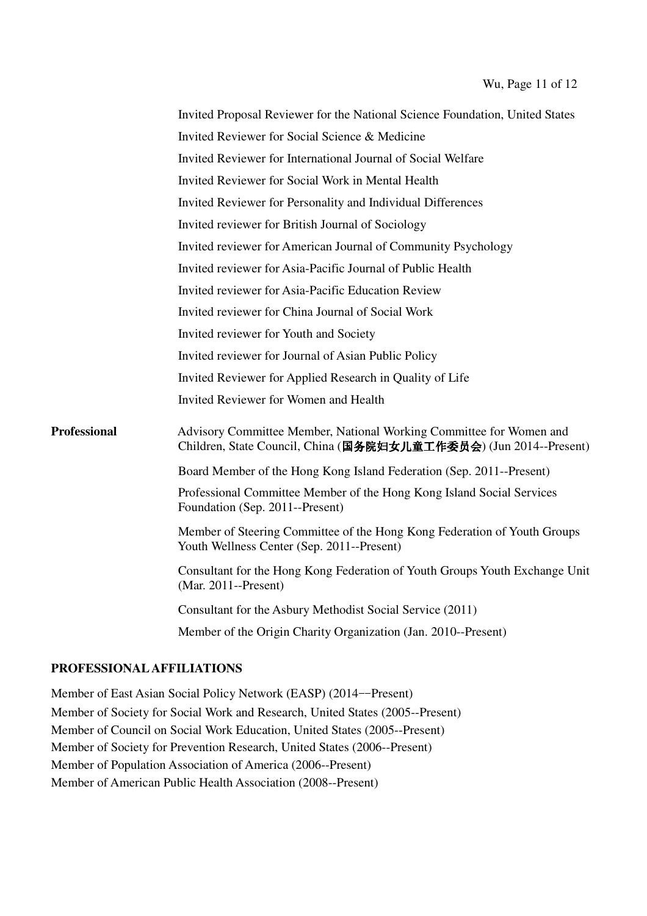|                     | Invited Proposal Reviewer for the National Science Foundation, United States                                                             |
|---------------------|------------------------------------------------------------------------------------------------------------------------------------------|
|                     | Invited Reviewer for Social Science & Medicine                                                                                           |
|                     | Invited Reviewer for International Journal of Social Welfare                                                                             |
|                     | Invited Reviewer for Social Work in Mental Health                                                                                        |
|                     | Invited Reviewer for Personality and Individual Differences                                                                              |
|                     | Invited reviewer for British Journal of Sociology                                                                                        |
|                     | Invited reviewer for American Journal of Community Psychology                                                                            |
|                     | Invited reviewer for Asia-Pacific Journal of Public Health                                                                               |
|                     | Invited reviewer for Asia-Pacific Education Review                                                                                       |
|                     | Invited reviewer for China Journal of Social Work                                                                                        |
|                     | Invited reviewer for Youth and Society                                                                                                   |
|                     | Invited reviewer for Journal of Asian Public Policy                                                                                      |
|                     | Invited Reviewer for Applied Research in Quality of Life                                                                                 |
|                     | Invited Reviewer for Women and Health                                                                                                    |
| <b>Professional</b> | Advisory Committee Member, National Working Committee for Women and<br>Children, State Council, China (国务院妇女儿童工作委员会) (Jun 2014--Present) |
|                     | Board Member of the Hong Kong Island Federation (Sep. 2011--Present)                                                                     |
|                     | Professional Committee Member of the Hong Kong Island Social Services<br>Foundation (Sep. 2011--Present)                                 |
|                     | Member of Steering Committee of the Hong Kong Federation of Youth Groups<br>Youth Wellness Center (Sep. 2011--Present)                   |
|                     | Consultant for the Hong Kong Federation of Youth Groups Youth Exchange Unit<br>$(Mar. 2011 - Present)$                                   |
|                     | Consultant for the Asbury Methodist Social Service (2011)                                                                                |
|                     | Member of the Origin Charity Organization (Jan. 2010--Present)                                                                           |

#### **PROFESSIONAL AFFILIATIONS**

Member of East Asian Social Policy Network (EASP) (2014--Present) Member of Society for Social Work and Research, United States (2005--Present) Member of Council on Social Work Education, United States (2005--Present) Member of Society for Prevention Research, United States (2006--Present) Member of Population Association of America (2006--Present) Member of American Public Health Association (2008--Present)